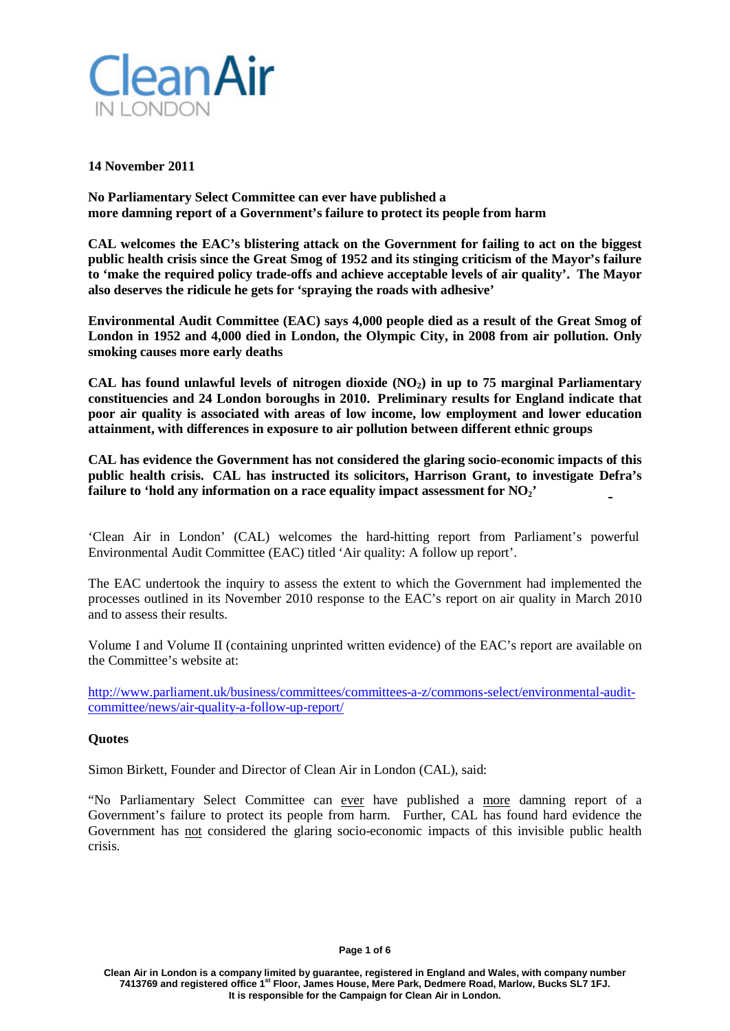

### **14 November 2011**

**No Parliamentary Select Committee can ever have published a more damning report of a Government's failure to protect its people from harm**

**CAL welcomes the EAC's blistering attack on the Government for failing to act on the biggest public health crisis since the Great Smog of 1952 and its stinging criticism of the Mayor's failure to 'make the required policy trade-offs and achieve acceptable levels of air quality'. The Mayor also deserves the ridicule he gets for 'spraying the roads with adhesive'**

**Environmental Audit Committee (EAC) says 4,000 people died as a result of the Great Smog of London in 1952 and 4,000 died in London, the Olympic City, in 2008 from air pollution. Only smoking causes more early deaths**

**CAL has found unlawful levels of nitrogen dioxide (NO2) in up to 75 marginal Parliamentary constituencies and 24 London boroughs in 2010. Preliminary results for England indicate that poor air quality is associated with areas of low income, low employment and lower education attainment, with differences in exposure to air pollution between different ethnic groups**

**CAL has evidence the Government has not considered the glaring socio-economic impacts of this public health crisis. CAL has instructed its solicitors, Harrison Grant, to investigate Defra's failure to 'hold any information on a race equality impact assessment for NO2'**

'Clean Air in London' (CAL) welcomes the hard-hitting report from Parliament's powerful Environmental Audit Committee (EAC) titled 'Air quality: A follow up report'.

The EAC undertook the inquiry to assess the extent to which the Government had implemented the processes outlined in its November 2010 response to the EAC's report on air quality in March 2010 and to assess their results.

Volume I and Volume II (containing unprinted written evidence) of the EAC's report are available on the Committee's website at:

[http://www.parliament.uk/business/committees/committees-a-z/commons-select/environmental-audit](http://www.parliament.uk/business/committees/committees-a-z/commons-select/environmental-audit-committee/news/air-quality-a-follow-up-report/)[committee/news/air-quality-a-follow-up-report/](http://www.parliament.uk/business/committees/committees-a-z/commons-select/environmental-audit-committee/news/air-quality-a-follow-up-report/)

## **Quotes**

Simon Birkett, Founder and Director of Clean Air in London (CAL), said:

"No Parliamentary Select Committee can ever have published a more damning report of a Government's failure to protect its people from harm. Further, CAL has found hard evidence the Government has not considered the glaring socio-economic impacts of this invisible public health crisis.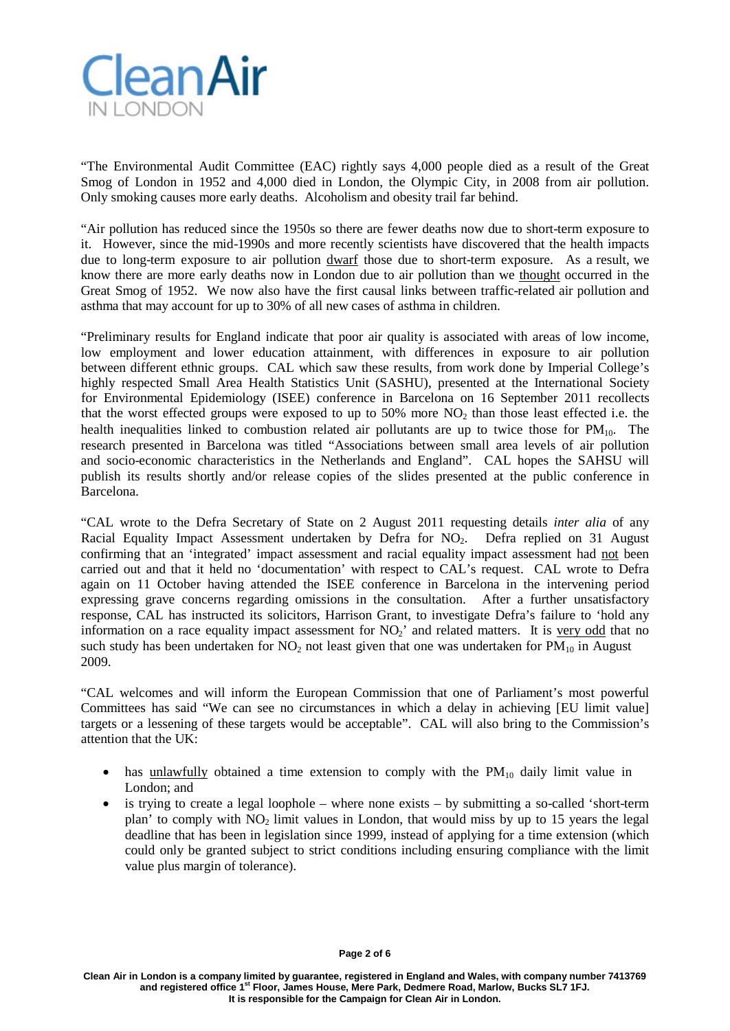

"The Environmental Audit Committee (EAC) rightly says 4,000 people died as a result of the Great Smog of London in 1952 and 4,000 died in London, the Olympic City, in 2008 from air pollution. Only smoking causes more early deaths. Alcoholism and obesity trail far behind.

"Air pollution has reduced since the 1950s so there are fewer deaths now due to short-term exposure to it. However, since the mid-1990s and more recently scientists have discovered that the health impacts due to long-term exposure to air pollution dwarf those due to short-term exposure. As a result, we know there are more early deaths now in London due to air pollution than we thought occurred in the Great Smog of 1952. We now also have the first causal links between traffic-related air pollution and asthma that may account for up to 30% of all new cases of asthma in children.

"Preliminary results for England indicate that poor air quality is associated with areas of low income, low employment and lower education attainment, with differences in exposure to air pollution between different ethnic groups. CAL which saw these results, from work done by Imperial College's highly respected Small Area Health Statistics Unit (SASHU), presented at the International Society for Environmental Epidemiology (ISEE) conference in Barcelona on 16 September 2011 recollects that the worst effected groups were exposed to up to 50% more  $NO<sub>2</sub>$  than those least effected i.e. the health inequalities linked to combustion related air pollutants are up to twice those for  $PM_{10}$ . The research presented in Barcelona was titled "Associations between small area levels of air pollution and socio-economic characteristics in the Netherlands and England". CAL hopes the SAHSU will publish its results shortly and/or release copies of the slides presented at the public conference in Barcelona.

"CAL wrote to the Defra Secretary of State on 2 August 2011 requesting details *inter alia* of any Racial Equality Impact Assessment undertaken by Defra for NO<sub>2</sub>. Defra replied on 31 August confirming that an 'integrated' impact assessment and racial equality impact assessment had not been carried out and that it held no 'documentation' with respect to CAL's request. CAL wrote to Defra again on 11 October having attended the ISEE conference in Barcelona in the intervening period expressing grave concerns regarding omissions in the consultation. After a further unsatisfactory response, CAL has instructed its solicitors, Harrison Grant, to investigate Defra's failure to 'hold any information on a race equality impact assessment for  $NO<sub>2</sub>$ <sup>'</sup> and related matters. It is <u>very odd</u> that no such study has been undertaken for  $NO<sub>2</sub>$  not least given that one was undertaken for  $PM<sub>10</sub>$  in August 2009.

"CAL welcomes and will inform the European Commission that one of Parliament's most powerful Committees has said "We can see no circumstances in which a delay in achieving [EU limit value] targets or a lessening of these targets would be acceptable". CAL will also bring to the Commission's attention that the UK:

- has unlawfully obtained a time extension to comply with the  $PM_{10}$  daily limit value in London; and
- is trying to create a legal loophole where none exists by submitting a so-called 'short-term plan' to comply with  $NO<sub>2</sub>$  limit values in London, that would miss by up to 15 years the legal deadline that has been in legislation since 1999, instead of applying for a time extension (which could only be granted subject to strict conditions including ensuring compliance with the limit value plus margin of tolerance).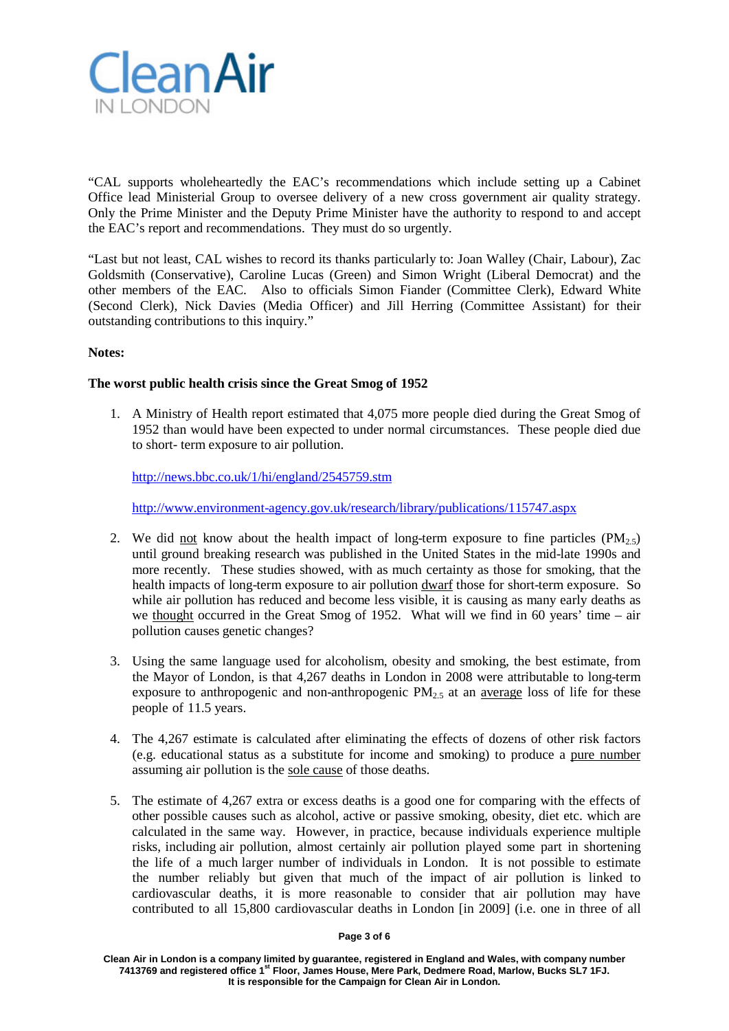

"CAL supports wholeheartedly the EAC's recommendations which include setting up a Cabinet Office lead Ministerial Group to oversee delivery of a new cross government air quality strategy. Only the Prime Minister and the Deputy Prime Minister have the authority to respond to and accept the EAC's report and recommendations. They must do so urgently.

"Last but not least, CAL wishes to record its thanks particularly to: Joan Walley (Chair, Labour), Zac Goldsmith (Conservative), Caroline Lucas (Green) and Simon Wright (Liberal Democrat) and the other members of the EAC. Also to officials Simon Fiander (Committee Clerk), Edward White (Second Clerk), Nick Davies (Media Officer) and Jill Herring (Committee Assistant) for their outstanding contributions to this inquiry."

## **Notes:**

## **The worst public health crisis since the Great Smog of 1952**

1. A Ministry of Health report estimated that 4,075 more people died during the Great Smog of 1952 than would have been expected to under normal circumstances. These people died due to short- term exposure to air pollution.

<http://news.bbc.co.uk/1/hi/england/2545759.stm>

<http://www.environment-agency.gov.uk/research/library/publications/115747.aspx>

- 2. We did not know about the health impact of long-term exposure to fine particles  $(PM_{2.5})$ until ground breaking research was published in the United States in the mid-late 1990s and more recently. These studies showed, with as much certainty as those for smoking, that the health impacts of long-term exposure to air pollution dwarf those for short-term exposure. So while air pollution has reduced and become less visible, it is causing as many early deaths as we thought occurred in the Great Smog of 1952. What will we find in 60 years' time – air pollution causes genetic changes?
- 3. Using the same language used for alcoholism, obesity and smoking, the best estimate, from the Mayor of London, is that 4,267 deaths in London in 2008 were attributable to long-term exposure to anthropogenic and non-anthropogenic  $PM_{2.5}$  at an average loss of life for these people of 11.5 years.
- 4. The 4,267 estimate is calculated after eliminating the effects of dozens of other risk factors (e.g. educational status as a substitute for income and smoking) to produce a pure number assuming air pollution is the sole cause of those deaths.
- 5. The estimate of 4,267 extra or excess deaths is a good one for comparing with the effects of other possible causes such as alcohol, active or passive smoking, obesity, diet etc. which are calculated in the same way. However, in practice, because individuals experience multiple risks, including air pollution, almost certainly air pollution played some part in shortening the life of a much larger number of individuals in London. It is not possible to estimate the number reliably but given that much of the impact of air pollution is linked to cardiovascular deaths, it is more reasonable to consider that air pollution may have contributed to all 15,800 cardiovascular deaths in London [in 2009] (i.e. one in three of all

#### **Page 3 of 6**

**Clean Air in London is a company limited by guarantee, registered in England and Wales, with company number 7413769 and registered office 1st Floor, James House, Mere Park, Dedmere Road, Marlow, Bucks SL7 1FJ. It is responsible for the Campaign for Clean Air in London.**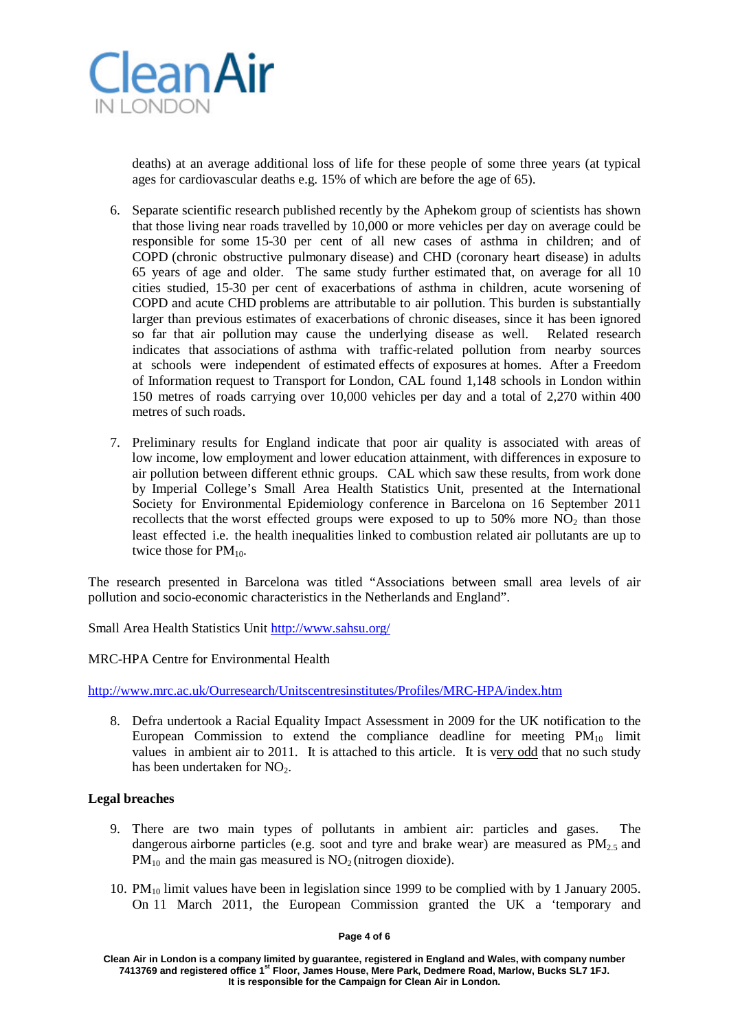

deaths) at an average additional loss of life for these people of some three years (at typical ages for cardiovascular deaths e.g. 15% of which are before the age of 65).

- 6. Separate scientific research published recently by the Aphekom group of scientists has shown that those living near roads travelled by 10,000 or more vehicles per day on average could be responsible for some 15-30 per cent of all new cases of asthma in children; and of COPD (chronic obstructive pulmonary disease) and CHD (coronary heart disease) in adults 65 years of age and older. The same study further estimated that, on average for all 10 cities studied, 15-30 per cent of exacerbations of asthma in children, acute worsening of COPD and acute CHD problems are attributable to air pollution. This burden is substantially larger than previous estimates of exacerbations of chronic diseases, since it has been ignored so far that air pollution may cause the underlying disease as well. Related research indicates that associations of asthma with traffic-related pollution from nearby sources at schools were independent of estimated effects of exposures at homes. After a Freedom of Information request to Transport for London, CAL found 1,148 schools in London within 150 metres of roads carrying over 10,000 vehicles per day and a total of 2,270 within 400 metres of such roads.
- 7. Preliminary results for England indicate that poor air quality is associated with areas of low income, low employment and lower education attainment, with differences in exposure to air pollution between different ethnic groups. CAL which saw these results, from work done by Imperial College's Small Area Health Statistics Unit, presented at the International Society for Environmental Epidemiology conference in Barcelona on 16 September 2011 recollects that the worst effected groups were exposed to up to  $50\%$  more NO<sub>2</sub> than those least effected i.e. the health inequalities linked to combustion related air pollutants are up to twice those for  $PM_{10}$ .

The research presented in Barcelona was titled "Associations between small area levels of air pollution and socio-economic characteristics in the Netherlands and England".

Small Area Health Statistics Unit<http://www.sahsu.org/>

#### MRC-HPA Centre for Environmental Health

<http://www.mrc.ac.uk/Ourresearch/Unitscentresinstitutes/Profiles/MRC-HPA/index.htm>

8. Defra undertook a Racial Equality Impact Assessment in 2009 for the UK notification to the European Commission to extend the compliance deadline for meeting  $PM_{10}$  limit values in ambient air to 2011. It is attached to this article. It is very odd that no such study has been undertaken for  $NO<sub>2</sub>$ .

# **Legal breaches**

- 9. There are two main types of pollutants in ambient air: particles and gases. The dangerous airborne particles (e.g. soot and tyre and brake wear) are measured as  $PM_{2.5}$  and  $PM_{10}$  and the main gas measured is  $NO<sub>2</sub>$  (nitrogen dioxide).
- 10. PM10 limit values have been in legislation since 1999 to be complied with by 1 January 2005. On 11 March 2011, the European Commission granted the UK a 'temporary and

#### **Page 4 of 6**

**Clean Air in London is a company limited by guarantee, registered in England and Wales, with company number 7413769 and registered office 1st Floor, James House, Mere Park, Dedmere Road, Marlow, Bucks SL7 1FJ. It is responsible for the Campaign for Clean Air in London.**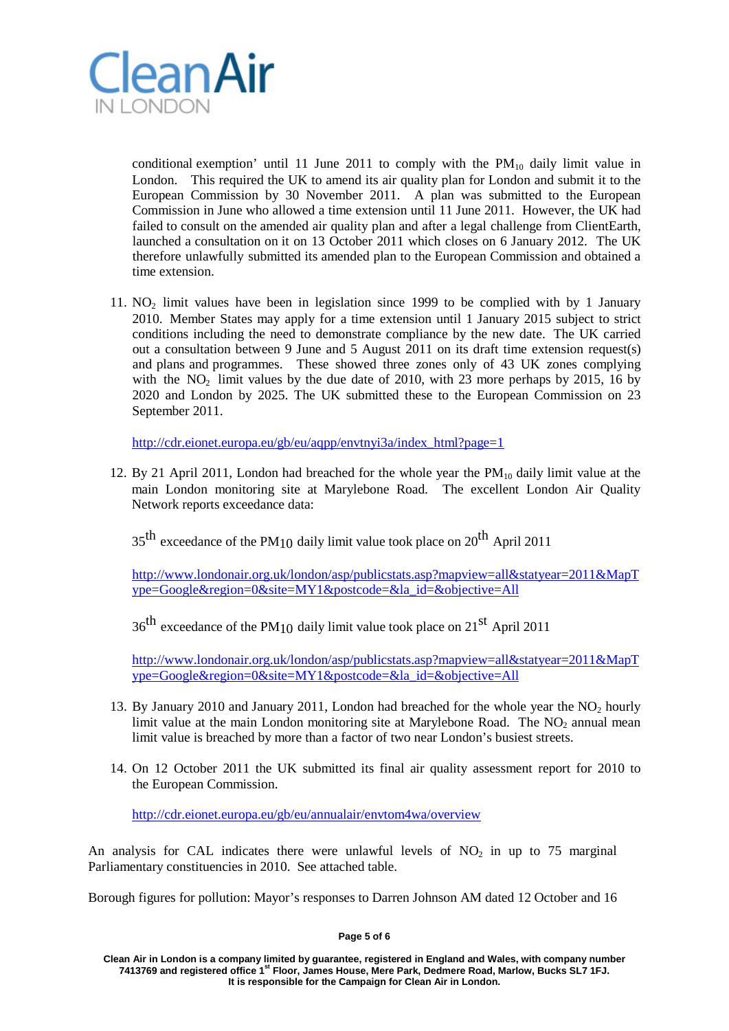

conditional exemption' until 11 June 2011 to comply with the  $PM_{10}$  daily limit value in London. This required the UK to amend its air quality plan for London and submit it to the European Commission by 30 November 2011. A plan was submitted to the European Commission in June who allowed a time extension until 11 June 2011. However, the UK had failed to consult on the amended air quality plan and after a legal challenge from ClientEarth, launched a consultation on it on 13 October 2011 which closes on 6 January 2012. The UK therefore unlawfully submitted its amended plan to the European Commission and obtained a time extension.

11.  $NO<sub>2</sub>$  limit values have been in legislation since 1999 to be complied with by 1 January 2010. Member States may apply for a time extension until 1 January 2015 subject to strict conditions including the need to demonstrate compliance by the new date. The UK carried out a consultation between 9 June and 5 August 2011 on its draft time extension request(s) and plans and programmes. These showed three zones only of 43 UK zones complying with the  $NO<sub>2</sub>$  limit values by the due date of 2010, with 23 more perhaps by 2015, 16 by 2020 and London by 2025. The UK submitted these to the European Commission on 23 September 2011.

[http://cdr.eionet.europa.eu/gb/eu/aqpp/envtnyi3a/index\\_html?page=1](http://cdr.eionet.europa.eu/gb/eu/aqpp/envtnyi3a/index_html?page=1)

12. By 21 April 2011, London had breached for the whole year the  $PM_{10}$  daily limit value at the main London monitoring site at Marylebone Road. The excellent London Air Quality Network reports exceedance data:

 $35<sup>th</sup>$  exceedance of the PM<sub>10</sub> daily limit value took place on 20<sup>th</sup> April 2011

[http://www.londonair.org.uk/london/asp/publicstats.asp?mapview=all&statyear=2011&MapT](http://www.londonair.org.uk/london/asp/publicstats.asp?mapview=all&statyear=2011&MapType=Google®ion=0&site=MY1&postcode=&la_id=&objective=All) [ype=Google&region=0&site=MY1&postcode=&la\\_id=&objective=All](http://www.londonair.org.uk/london/asp/publicstats.asp?mapview=all&statyear=2011&MapType=Google®ion=0&site=MY1&postcode=&la_id=&objective=All)

 $36<sup>th</sup>$  exceedance of the PM<sub>10</sub> daily limit value took place on 21<sup>st</sup> April 2011

[http://www.londonair.org.uk/london/asp/publicstats.asp?mapview=all&statyear=2011&MapT](http://www.londonair.org.uk/london/asp/publicstats.asp?mapview=all&statyear=2011&MapType=Google®ion=0&site=MY1&postcode=&la_id=&objective=All) [ype=Google&region=0&site=MY1&postcode=&la\\_id=&objective=All](http://www.londonair.org.uk/london/asp/publicstats.asp?mapview=all&statyear=2011&MapType=Google®ion=0&site=MY1&postcode=&la_id=&objective=All)

- 13. By January 2010 and January 2011, London had breached for the whole year the  $NO<sub>2</sub>$  hourly limit value at the main London monitoring site at Marylebone Road. The  $NO<sub>2</sub>$  annual mean limit value is breached by more than a factor of two near London's busiest streets.
- 14. On 12 October 2011 the UK submitted its final air quality assessment report for 2010 to the European Commission.

<http://cdr.eionet.europa.eu/gb/eu/annualair/envtom4wa/overview>

An analysis for CAL indicates there were unlawful levels of  $NO<sub>2</sub>$  in up to 75 marginal Parliamentary constituencies in 2010. See attached table.

Borough figures for pollution: Mayor's responses to Darren Johnson AM dated 12 October and 16

### **Page 5 of 6**

**Clean Air in London is a company limited by guarantee, registered in England and Wales, with company number 7413769 and registered office 1st Floor, James House, Mere Park, Dedmere Road, Marlow, Bucks SL7 1FJ. It is responsible for the Campaign for Clean Air in London.**